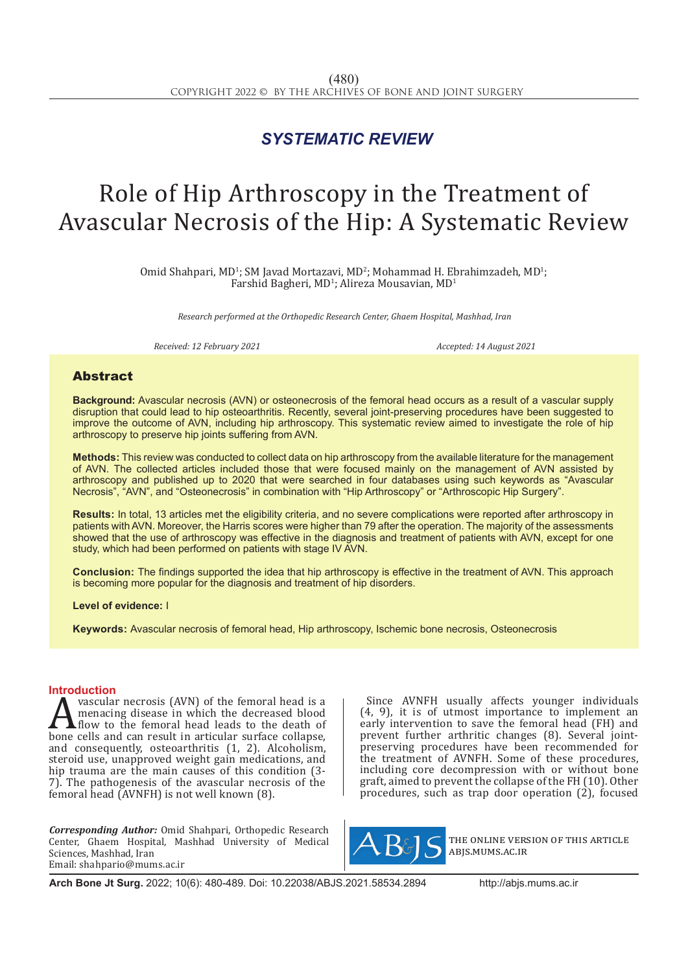## *SYSTEMATIC REVIEW*

# Role of Hip Arthroscopy in the Treatment of Avascular Necrosis of the Hip: A Systematic Review

Omid Shahpari, MD<sup>1</sup>; SM Javad Mortazavi, MD<sup>2</sup>; Mohammad H. Ebrahimzadeh, MD<sup>1</sup>; Farshid Bagheri, MD<sup>1</sup>; Alireza Mousavian, MD<sup>1</sup>

*Research performed at the Orthopedic Research Center, Ghaem Hospital, Mashhad, Iran*

*Received: 12 February 2021 Accepted: 14 August 2021*

### Abstract

**Background:** Avascular necrosis (AVN) or osteonecrosis of the femoral head occurs as a result of a vascular supply disruption that could lead to hip osteoarthritis. Recently, several joint-preserving procedures have been suggested to improve the outcome of AVN, including hip arthroscopy. This systematic review aimed to investigate the role of hip arthroscopy to preserve hip joints suffering from AVN.

**Methods:** This review was conducted to collect data on hip arthroscopy from the available literature for the management of AVN. The collected articles included those that were focused mainly on the management of AVN assisted by arthroscopy and published up to 2020 that were searched in four databases using such keywords as "Avascular Necrosis", "AVN", and "Osteonecrosis" in combination with "Hip Arthroscopy" or "Arthroscopic Hip Surgery".

**Results:** In total, 13 articles met the eligibility criteria, and no severe complications were reported after arthroscopy in patients with AVN. Moreover, the Harris scores were higher than 79 after the operation. The majority of the assessments showed that the use of arthroscopy was effective in the diagnosis and treatment of patients with AVN, except for one study, which had been performed on patients with stage IV AVN.

**Conclusion:** The findings supported the idea that hip arthroscopy is effective in the treatment of AVN. This approach is becoming more popular for the diagnosis and treatment of hip disorders.

**Level of evidence:** I

**Keywords:** Avascular necrosis of femoral head, Hip arthroscopy, Ischemic bone necrosis, Osteonecrosis

**Introduction**<br>**A** vascular necrosis (AVN) of the femoral head is a Mascular necrosis (AVN) of the femoral head is a<br>menacing disease in which the decreased blood<br>flow to the femoral head leads to the death of<br>bone cells and can result in articular surface collapse,<br>and consequently osteor menacing disease in which the decreased blood flow to the femoral head leads to the death of and consequently, osteoarthritis (1, 2). Alcoholism, steroid use, unapproved weight gain medications, and hip trauma are the main causes of this condition (3- 7). The pathogenesis of the avascular necrosis of the femoral head (AVNFH) is not well known (8).

*Corresponding Author:* Omid Shahpari, Orthopedic Research Center, Ghaem Hospital, Mashhad University of Medical Sciences, Mashhad, Iran Email: shahpario@mums.ac.ir

Since AVNFH usually affects younger individuals (4, 9), it is of utmost importance to implement an early intervention to save the femoral head (FH) and prevent further arthritic changes (8). Several jointpreserving procedures have been recommended for the treatment of AVNFH. Some of these procedures, including core decompression with or without bone graft, aimed to prevent the collapse of the FH (10). Other procedures, such as trap door operation (2), focused



the online version of this article abjs.mums.ac.ir

**Arch Bone Jt Surg.** 2022; 10(6): 480-489. Doi: 10.22038/ABJS.2021.58534.2894 http://abjs.mums.ac.ir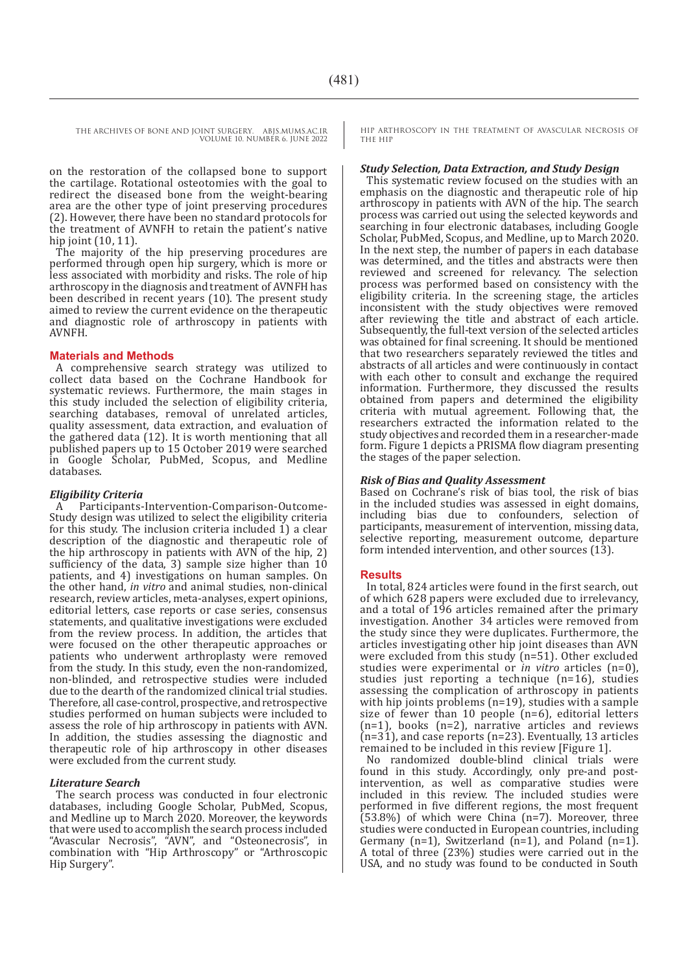> on the restoration of the collapsed bone to support the cartilage. Rotational osteotomies with the goal to redirect the diseased bone from the weight-bearing area are the other type of joint preserving procedures (2). However, there have been no standard protocols for the treatment of AVNFH to retain the patient's native hip joint (10, 11).

> The majority of the hip preserving procedures are performed through open hip surgery, which is more or less associated with morbidity and risks. The role of hip arthroscopy in the diagnosis and treatment of AVNFH has been described in recent years (10). The present study aimed to review the current evidence on the therapeutic and diagnostic role of arthroscopy in patients with AVNFH.

#### **Materials and Methods**

A comprehensive search strategy was utilized to collect data based on the Cochrane Handbook for systematic reviews. Furthermore, the main stages in this study included the selection of eligibility criteria, searching databases, removal of unrelated articles, quality assessment, data extraction, and evaluation of the gathered data (12). It is worth mentioning that all published papers up to 15 October 2019 were searched in Google Scholar, PubMed, Scopus, and Medline databases.

#### *Eligibility Criteria*

A Participants-Intervention-Comparison-Outcome-Study design was utilized to select the eligibility criteria for this study. The inclusion criteria included  $\hat{1}$ ) a clear description of the diagnostic and therapeutic role of the hip arthroscopy in patients with AVN of the hip, 2) sufficiency of the data, 3) sample size higher than 10 patients, and 4) investigations on human samples. On the other hand, *in vitro* and animal studies, non-clinical research, review articles, meta-analyses, expert opinions, editorial letters, case reports or case series, consensus statements, and qualitative investigations were excluded from the review process. In addition, the articles that were focused on the other therapeutic approaches or patients who underwent arthroplasty were removed from the study. In this study, even the non-randomized, non-blinded, and retrospective studies were included due to the dearth of the randomized clinical trial studies. Therefore, all case-control, prospective, and retrospective studies performed on human subjects were included to assess the role of hip arthroscopy in patients with AVN. In addition, the studies assessing the diagnostic and therapeutic role of hip arthroscopy in other diseases were excluded from the current study.

#### *Literature Search*

The search process was conducted in four electronic databases, including Google Scholar, PubMed, Scopus, and Medline up to March 2020. Moreover, the keywords that were used to accomplish the search process included "Avascular Necrosis", "AVN", and "Osteonecrosis", in combination with "Hip Arthroscopy" or "Arthroscopic Hip Surgery".

HIP ARTHROSCOPY IN THE TREATMENT OF AVASCULAR NECROSIS OF THE HIP

#### *Study Selection, Data Extraction, and Study Design*

This systematic review focused on the studies with an emphasis on the diagnostic and therapeutic role of hip arthroscopy in patients with AVN of the hip. The search process was carried out using the selected keywords and searching in four electronic databases, including Google Scholar, PubMed, Scopus, and Medline, up to March 2020. In the next step, the number of papers in each database was determined, and the titles and abstracts were then reviewed and screened for relevancy. The selection process was performed based on consistency with the eligibility criteria. In the screening stage, the articles inconsistent with the study objectives were removed after reviewing the title and abstract of each article. Subsequently, the full-text version of the selected articles was obtained for final screening. It should be mentioned that two researchers separately reviewed the titles and abstracts of all articles and were continuously in contact with each other to consult and exchange the required information. Furthermore, they discussed the results obtained from papers and determined the eligibility criteria with mutual agreement. Following that, the researchers extracted the information related to the study objectives and recorded them in a researcher-made form. Figure 1 depicts a PRISMA flow diagram presenting the stages of the paper selection.

#### *Risk of Bias and Quality Assessment*

Based on Cochrane's risk of bias tool, the risk of bias in the included studies was assessed in eight domains, including bias due to confounders, selection of participants, measurement of intervention, missing data, selective reporting, measurement outcome, departure form intended intervention, and other sources (13).

#### **Results**

In total, 824 articles were found in the first search, out of which 628 papers were excluded due to irrelevancy, and a total of 196 articles remained after the primary investigation. Another 34 articles were removed from the study since they were duplicates. Furthermore, the articles investigating other hip joint diseases than AVN were excluded from this study (n=51). Other excluded studies were experimental or *in vitro* articles (n=0), studies just reporting a technique (n=16), studies assessing the complication of arthroscopy in patients with hip joints problems (n=19), studies with a sample size of fewer than 10 people (n=6), editorial letters (n=1), books (n=2), narrative articles and reviews  $(n=31)$ , and case reports  $(n=23)$ . Eventually, 13 articles remained to be included in this review [Figure 1].

No randomized double-blind clinical trials were found in this study. Accordingly, only pre-and postintervention, as well as comparative studies were included in this review. The included studies were performed in five different regions, the most frequent (53.8%) of which were China (n=7). Moreover, three studies were conducted in European countries, including Germany (n=1), Switzerland (n=1), and Poland (n=1). A total of three (23%) studies were carried out in the USA, and no study was found to be conducted in South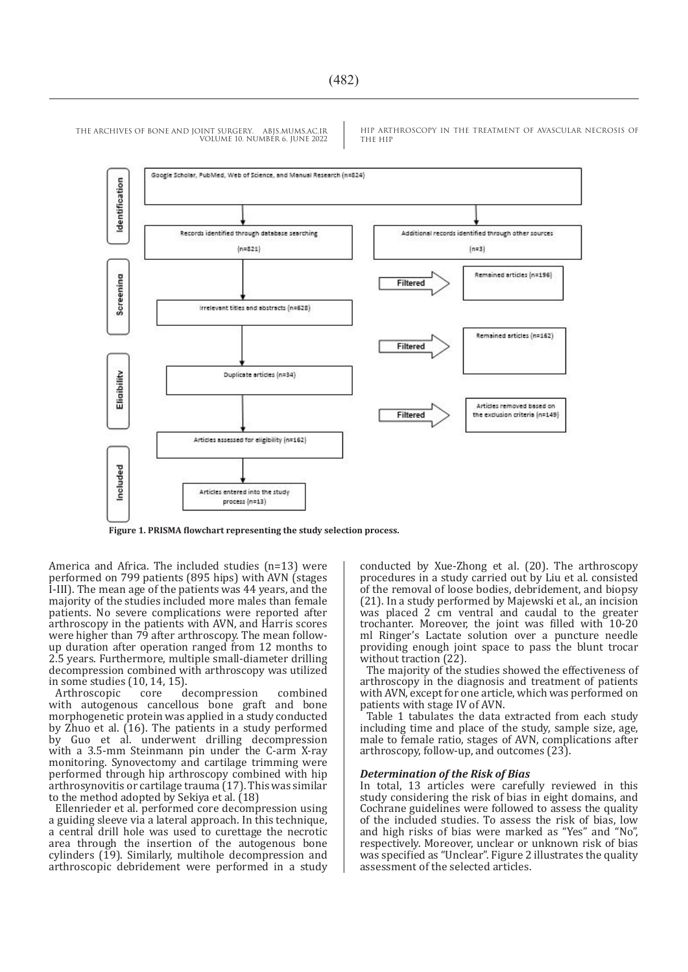HIP ARTHROSCOPY IN THE TREATMENT OF AVASCULAR NECROSIS OF THE HIP



**Figure 1. PRISMA flowchart representing the study selection process.**

America and Africa. The included studies (n=13) were performed on 799 patients (895 hips) with AVN (stages I-III). The mean age of the patients was 44 years, and the majority of the studies included more males than female patients. No severe complications were reported after arthroscopy in the patients with AVN, and Harris scores were higher than 79 after arthroscopy. The mean followup duration after operation ranged from 12 months to 2.5 years. Furthermore, multiple small-diameter drilling decompression combined with arthroscopy was utilized in some studies (10, 14, 15).

Arthroscopic core decompression combined with autogenous cancellous bone graft and bone morphogenetic protein was applied in a study conducted by Zhuo et al. (16). The patients in a study performed by Guo et al. underwent drilling decompression with a 3.5-mm Steinmann pin under the C-arm X-ray monitoring. Synovectomy and cartilage trimming were performed through hip arthroscopy combined with hip arthrosynovitis or cartilage trauma (17). This was similar to the method adopted by Sekiya et al. (18)

Ellenrieder et al. performed core decompression using a guiding sleeve via a lateral approach. In this technique, a central drill hole was used to curettage the necrotic area through the insertion of the autogenous bone cylinders (19). Similarly, multihole decompression and arthroscopic debridement were performed in a study conducted by Xue-Zhong et al. (20). The arthroscopy procedures in a study carried out by Liu et al. consisted of the removal of loose bodies, debridement, and biopsy (21). In a study performed by Majewski et al., an incision was placed 2 cm ventral and caudal to the greater trochanter. Moreover, the joint was filled with 10-20 ml Ringer's Lactate solution over a puncture needle providing enough joint space to pass the blunt trocar without traction (22).

The majority of the studies showed the effectiveness of arthroscopy in the diagnosis and treatment of patients with AVN, except for one article, which was performed on patients with stage IV of AVN.

Table 1 tabulates the data extracted from each study including time and place of the study, sample size, age, male to female ratio, stages of AVN, complications after arthroscopy, follow-up, and outcomes (23).

#### *Determination of the Risk of Bias*

In total, 13 articles were carefully reviewed in this study considering the risk of bias in eight domains, and Cochrane guidelines were followed to assess the quality of the included studies. To assess the risk of bias, low and high risks of bias were marked as "Yes" and "No", respectively. Moreover, unclear or unknown risk of bias was specified as "Unclear". Figure 2 illustrates the quality assessment of the selected articles.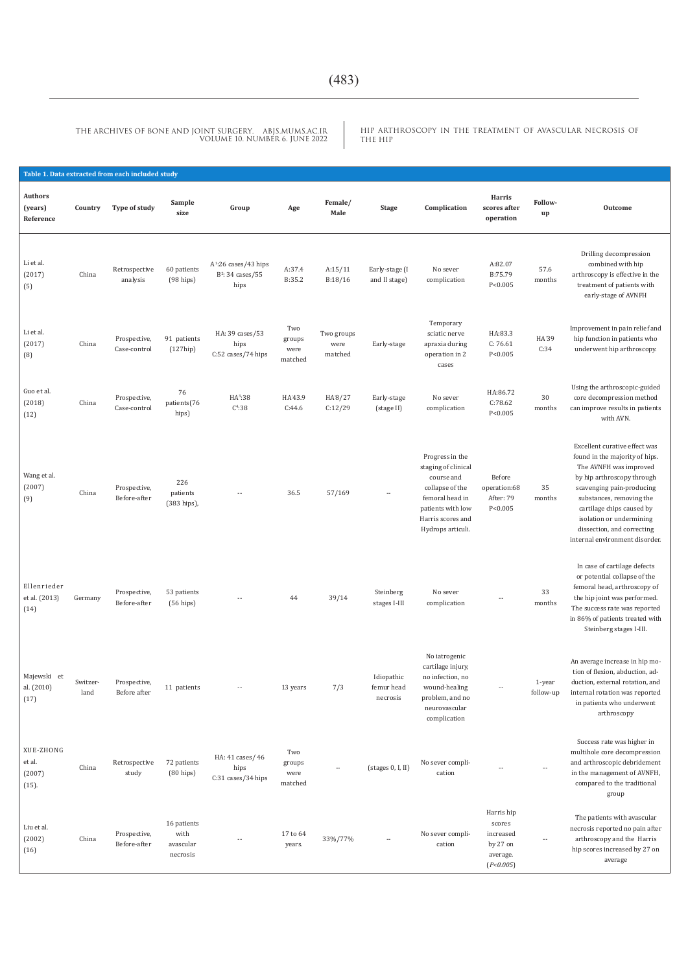HIP ARTHROSCOPY IN THE TREATMENT OF AVASCULAR NECROSIS OF THE HIP

| Table 1. Data extracted from each included study |                  |                              |                                              |                                                                 |                                  |                               |                                      |                                                                                                                                                           |                                                                                |                          |                                                                                                                                                                                                                                                                                                           |
|--------------------------------------------------|------------------|------------------------------|----------------------------------------------|-----------------------------------------------------------------|----------------------------------|-------------------------------|--------------------------------------|-----------------------------------------------------------------------------------------------------------------------------------------------------------|--------------------------------------------------------------------------------|--------------------------|-----------------------------------------------------------------------------------------------------------------------------------------------------------------------------------------------------------------------------------------------------------------------------------------------------------|
| <b>Authors</b><br>(years)<br>Reference           | Country          | Type of study                | Sample<br>size                               | Group                                                           | Age                              | Female/<br>Male               | <b>Stage</b>                         | Complication                                                                                                                                              | Harris<br>scores after<br>operation                                            | Follow-<br>up            | Outcome                                                                                                                                                                                                                                                                                                   |
| Li et al.<br>(2017)<br>(5)                       | China            | Retrospective<br>analysis    | 60 patients<br>$(98$ hips)                   | A <sup>1</sup> :26 cases/43 hips<br>$B^2$ : 34 cases/55<br>hips | A:37.4<br>B:35.2                 | A:15/11<br>B:18/16            | Early-stage (I<br>and II stage)      | No sever<br>complication                                                                                                                                  | A:82.07<br>B:75.79<br>P < 0.005                                                | 57.6<br>months           | Drilling decompression<br>combined with hip<br>arthroscopy is effective in the<br>treatment of patients with<br>early-stage of AVNFH                                                                                                                                                                      |
| Li et al.<br>(2017)<br>(8)                       | China            | Prospective,<br>Case-control | 91 patients<br>$(127$ hip $)$                | HA: 39 cases/53<br>hips<br>C:52 cases/74 hips                   | Two<br>groups<br>were<br>matched | Two groups<br>were<br>matched | Early-stage                          | Temporary<br>sciatic nerve<br>apraxia during<br>operation in 2<br>cases                                                                                   | HA:83.3<br>C: 76.61<br>P < 0.005                                               | HA:39<br>C:34            | Improvement in pain relief and<br>hip function in patients who<br>underwent hip arthroscopy.                                                                                                                                                                                                              |
| Guo et al.<br>(2018)<br>(12)                     | China            | Prospective,<br>Case-control | 76<br>patients(76<br>hips)                   | $HA^3:38$<br>$C^4:38$                                           | HA 43.9<br>C:44.6                | HA8/27<br>C:12/29             | Early-stage<br>(stage II)            | No sever<br>complication                                                                                                                                  | HA:86.72<br>C:78.62<br>P < 0.005                                               | 30<br>months             | Using the arthroscopic-guided<br>core decompression method<br>can improve results in patients<br>with AVN.                                                                                                                                                                                                |
| Wang et al.<br>(2007)<br>(9)                     | China            | Prospective,<br>Before-after | 226<br>patients<br>(383 hips),               |                                                                 | 36.5                             | 57/169                        | ٠.                                   | Progress in the<br>staging of clinical<br>course and<br>collapse of the<br>femoral head in<br>patients with low<br>Harris scores and<br>Hydrops articuli. | Before<br>operation:68<br>After: 79<br>P < 0.005                               | 35<br>months             | Excellent curative effect was<br>found in the majority of hips.<br>The AVNFH was improved<br>by hip arthroscopy through<br>scavenging pain-producing<br>substances, removing the<br>cartilage chips caused by<br>isolation or undermining<br>dissection, and correcting<br>internal environment disorder. |
| Ellenrieder<br>et al. (2013)<br>(14)             | Germany          | Prospective,<br>Before-after | 53 patients<br>$(56$ hips $)$                |                                                                 | 44                               | 39/14                         | Steinberg<br>stages I-III            | No sever<br>complication                                                                                                                                  |                                                                                | 33<br>months             | In case of cartilage defects<br>or potential collapse of the<br>femoral head, arthroscopy of<br>the hip joint was performed.<br>The success rate was reported<br>in 86% of patients treated with<br>Steinberg stages I-III.                                                                               |
| Majewski et<br>al. (2010)<br>(17)                | Switzer-<br>land | Prospective,<br>Before after | 11 patients                                  |                                                                 | 13 years                         | 7/3                           | Idiopathic<br>femur head<br>necrosis | No iatrogenic<br>cartilage injury,<br>no infection, no<br>wound-healing<br>problem, and no<br>neurovascular<br>complication                               |                                                                                | 1-year<br>follow-up      | An average increase in hip mo-<br>tion of flexion, abduction, ad-<br>duction, external rotation, and<br>internal rotation was reported<br>in patients who underwent<br>arthroscopy                                                                                                                        |
| XUE-ZHONG<br>et al.<br>(2007)<br>(15).           | China            | Retrospective<br>study       | 72 patients<br>$(80$ hips $)$                | HA: 41 cases/ 46<br>hips<br>C:31 cases/34 hips                  | Two<br>groups<br>were<br>matched | $\overline{\phantom{a}}$      | (stages 0, I, II)                    | No sever compli-<br>cation                                                                                                                                | $\overline{\phantom{a}}$                                                       | $\overline{\phantom{a}}$ | Success rate was higher in<br>multihole core decompression<br>and arthroscopic debridement<br>in the management of AVNFH,<br>compared to the traditional<br>group                                                                                                                                         |
| Liu et al.<br>(2002)<br>(16)                     | China            | Prospective,<br>Before-after | 16 patients<br>with<br>avascular<br>necrosis |                                                                 | 17 to 64<br>years.               | 33%/77%                       | $\overline{\phantom{a}}$             | No sever compli-<br>cation                                                                                                                                | Harris hip<br>${\tt scores}$<br>increased<br>by 27 on<br>average.<br>(P<0.005) | $\ddotsc$                | The patients with avascular<br>necrosis reported no pain after<br>arthroscopy and the Harris<br>hip scores increased by 27 on<br>average                                                                                                                                                                  |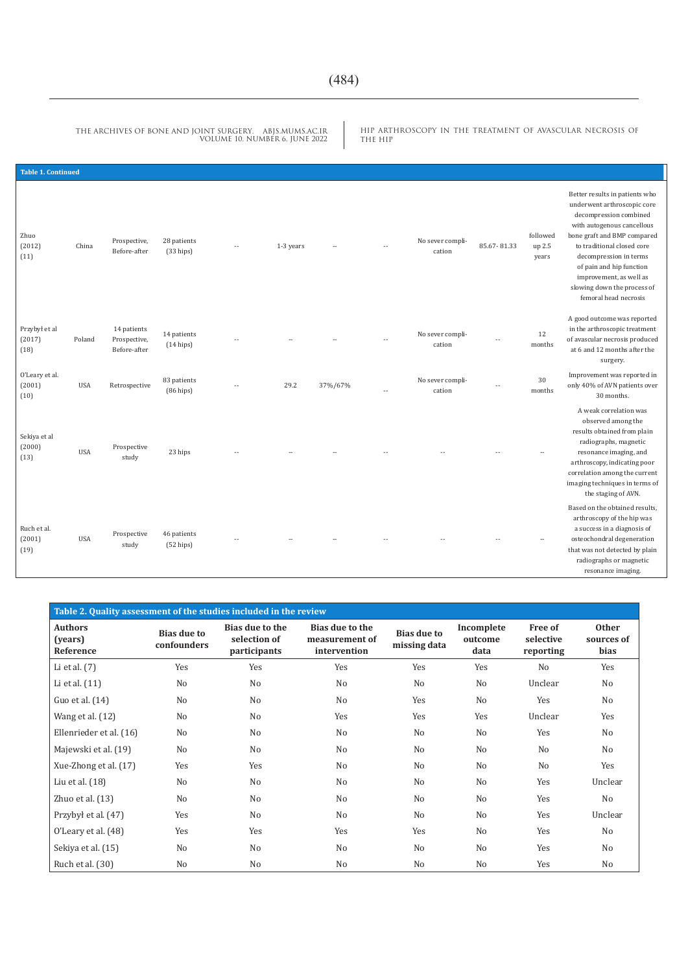HIP ARTHROSCOPY IN THE TREATMENT OF AVASCULAR NECROSIS OF THE HIP

П

| <b>Table 1. Continued</b>        |            |                                             |                                   |                          |           |         |                          |                            |                          |                             |                                                                                                                                                                                                                                                                                                                             |
|----------------------------------|------------|---------------------------------------------|-----------------------------------|--------------------------|-----------|---------|--------------------------|----------------------------|--------------------------|-----------------------------|-----------------------------------------------------------------------------------------------------------------------------------------------------------------------------------------------------------------------------------------------------------------------------------------------------------------------------|
| Zhuo<br>(2012)<br>(11)           | China      | Prospective,<br>Before-after                | 28 patients<br>(33 hips)          | $\overline{\phantom{a}}$ | 1-3 years |         | $\overline{\phantom{a}}$ | No sever compli-<br>cation | 85.67-81.33              | followed<br>up 2.5<br>years | Better results in patients who<br>underwent arthroscopic core<br>decompression combined<br>with autogenous cancellous<br>bone graft and BMP compared<br>to traditional closed core<br>decompression in terms<br>of pain and hip function<br>improvement, as well as<br>slowing down the process of<br>femoral head necrosis |
| Przybył et al<br>(2017)<br>(18)  | Poland     | 14 patients<br>Prospective,<br>Before-after | 14 patients<br>$(14 \text{hips})$ |                          |           |         | $\ddotsc$                | No sever compli-<br>cation | $\overline{\phantom{a}}$ | 12<br>months                | A good outcome was reported<br>in the arthroscopic treatment<br>of avascular necrosis produced<br>at 6 and 12 months after the<br>surgery.                                                                                                                                                                                  |
| O'Leary et al.<br>(2001)<br>(10) | <b>USA</b> | Retrospective                               | 83 patients<br>$(86$ hips)        | $\overline{\phantom{a}}$ | 29.2      | 37%/67% | $\sim$                   | No sever compli-<br>cation | $\sim$                   | 30<br>months                | Improvement was reported in<br>only 40% of AVN patients over<br>30 months.                                                                                                                                                                                                                                                  |
| Sekiya et al<br>(2000)<br>(13)   | <b>USA</b> | Prospective<br>study                        | 23 hips                           |                          |           |         |                          |                            |                          |                             | A weak correlation was<br>observed among the<br>results obtained from plain<br>radiographs, magnetic<br>resonance imaging, and<br>arthroscopy, indicating poor<br>correlation among the current<br>imaging techniques in terms of<br>the staging of AVN.                                                                    |
| Ruch et al.<br>(2001)<br>(19)    | <b>USA</b> | Prospective<br>study                        | 46 patients<br>$(52$ hips $)$     |                          |           |         |                          |                            |                          |                             | Based on the obtained results,<br>arthroscopy of the hip was<br>a success in a diagnosis of<br>osteochondral degeneration<br>that was not detected by plain<br>radiographs or magnetic<br>resonance imaging.                                                                                                                |

| Table 2. Quality assessment of the studies included in the review |                                                                                      |                |                                                   |                                    |                               |                                          |                                    |  |  |  |
|-------------------------------------------------------------------|--------------------------------------------------------------------------------------|----------------|---------------------------------------------------|------------------------------------|-------------------------------|------------------------------------------|------------------------------------|--|--|--|
| <b>Authors</b><br>(years)<br>Reference                            | Bias due to the<br><b>Bias due to</b><br>selection of<br>confounders<br>participants |                | Bias due to the<br>measurement of<br>intervention | <b>Bias due to</b><br>missing data | Incomplete<br>outcome<br>data | <b>Free of</b><br>selective<br>reporting | <b>Other</b><br>sources of<br>bias |  |  |  |
| Li et al. $(7)$                                                   | Yes                                                                                  | Yes            | Yes                                               | Yes                                | Yes                           | N <sub>o</sub>                           | Yes                                |  |  |  |
| Li et al. (11)                                                    | No                                                                                   | No             | No                                                | No                                 | No                            | Unclear                                  | No                                 |  |  |  |
| Guo et al. (14)                                                   | N <sub>0</sub>                                                                       | No             | N <sub>o</sub>                                    | Yes                                | N <sub>0</sub>                | Yes                                      | N <sub>o</sub>                     |  |  |  |
| Wang et al. $(12)$                                                | No                                                                                   | No             | Yes                                               | Yes                                | Yes                           | Unclear                                  | Yes                                |  |  |  |
| Ellenrieder et al. (16)                                           | No                                                                                   | No             | No                                                | No                                 | N <sub>0</sub>                | Yes                                      | No                                 |  |  |  |
| Majewski et al. (19)                                              | N <sub>o</sub>                                                                       | N <sub>o</sub> | N <sub>o</sub>                                    | N <sub>o</sub>                     | N <sub>o</sub>                | N <sub>o</sub>                           | No                                 |  |  |  |
| Xue-Zhong et al. (17)                                             | Yes                                                                                  | Yes            | No                                                | N <sub>o</sub>                     | N <sub>o</sub>                | No                                       | Yes                                |  |  |  |
| Liu et al. (18)                                                   | N <sub>o</sub>                                                                       | No             | N <sub>o</sub>                                    | N <sub>o</sub>                     | N <sub>o</sub>                | Yes                                      | Unclear                            |  |  |  |
| Zhuo et al. $(13)$                                                | N <sub>o</sub>                                                                       | N <sub>o</sub> | N <sub>o</sub>                                    | N <sub>o</sub>                     | N <sub>o</sub>                | Yes                                      | No                                 |  |  |  |
| Przybył et al. (47)                                               | Yes                                                                                  | No             | No                                                | N <sub>o</sub>                     | No                            | Yes                                      | Unclear                            |  |  |  |
| O'Leary et al. $(48)$                                             | Yes                                                                                  | Yes            | Yes                                               | Yes                                | N <sub>0</sub>                | Yes                                      | No                                 |  |  |  |
| Sekiya et al. (15)                                                | No                                                                                   | No             | N <sub>o</sub>                                    | No                                 | No                            | Yes                                      | No                                 |  |  |  |
| Ruch et al. (30)                                                  | N <sub>o</sub>                                                                       | No             | No                                                | No                                 | No                            | Yes                                      | N <sub>0</sub>                     |  |  |  |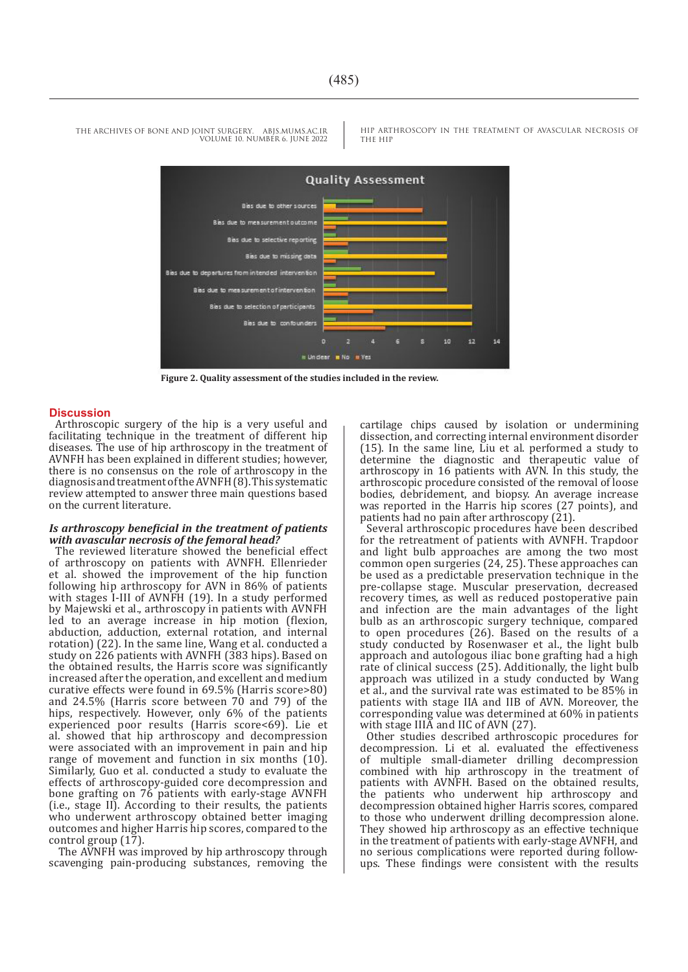HIP ARTHROSCOPY IN THE TREATMENT OF AVASCULAR NECROSIS OF THE HIP



**Figure 2. Quality assessment of the studies included in the review.**

#### **Discussion**

Arthroscopic surgery of the hip is a very useful and facilitating technique in the treatment of different hip diseases. The use of hip arthroscopy in the treatment of AVNFH has been explained in different studies; however, there is no consensus on the role of arthroscopy in the diagnosis and treatment of the AVNFH (8). This systematic review attempted to answer three main questions based on the current literature.

#### *Is arthroscopy beneficial in the treatment of patients with avascular necrosis of the femoral head?*

The reviewed literature showed the beneficial effect of arthroscopy on patients with AVNFH. Ellenrieder et al. showed the improvement of the hip function following hip arthroscopy for AVN in 86% of patients with stages I-III of AVNFH (19). In a study performed by Majewski et al., arthroscopy in patients with AVNFH led to an average increase in hip motion (flexion, abduction, adduction, external rotation, and internal rotation) (22). In the same line, Wang et al. conducted a study on 226 patients with AVNFH (383 hips). Based on the obtained results, the Harris score was significantly increased after the operation, and excellent and medium curative effects were found in 69.5% (Harris score>80) and 24.5% (Harris score between 70 and 79) of the hips, respectively. However, only 6% of the patients experienced poor results (Harris score<69). Lie et al. showed that hip arthroscopy and decompression were associated with an improvement in pain and hip range of movement and function in six months (10). Similarly, Guo et al. conducted a study to evaluate the effects of arthroscopy-guided core decompression and bone grafting on 76 patients with early-stage AVNFH (i.e., stage II). According to their results, the patients who underwent arthroscopy obtained better imaging outcomes and higher Harris hip scores, compared to the control group (17).

The AVNFH was improved by hip arthroscopy through scavenging pain-producing substances, removing the cartilage chips caused by isolation or undermining dissection, and correcting internal environment disorder (15). In the same line, Liu et al. performed a study to determine the diagnostic and therapeutic value of arthroscopy in 16 patients with AVN. In this study, the arthroscopic procedure consisted of the removal of loose bodies, debridement, and biopsy. An average increase was reported in the Harris hip scores (27 points), and patients had no pain after arthroscopy (21).

Several arthroscopic procedures have been described for the retreatment of patients with AVNFH. Trapdoor and light bulb approaches are among the two most common open surgeries (24, 25). These approaches can be used as a predictable preservation technique in the pre-collapse stage. Muscular preservation, decreased recovery times, as well as reduced postoperative pain and infection are the main advantages of the light bulb as an arthroscopic surgery technique, compared to open procedures (26). Based on the results of a study conducted by Rosenwaser et al., the light bulb approach and autologous iliac bone grafting had a high rate of clinical success (25). Additionally, the light bulb approach was utilized in a study conducted by Wang et al., and the survival rate was estimated to be 85% in patients with stage IIA and IIB of AVN. Moreover, the corresponding value was determined at 60% in patients with stage IIIA and IIC of AVN (27).

Other studies described arthroscopic procedures for decompression. Li et al. evaluated the effectiveness of multiple small-diameter drilling decompression combined with hip arthroscopy in the treatment of patients with AVNFH. Based on the obtained results, the patients who underwent hip arthroscopy and decompression obtained higher Harris scores, compared to those who underwent drilling decompression alone. They showed hip arthroscopy as an effective technique in the treatment of patients with early-stage AVNFH, and no serious complications were reported during followups. These findings were consistent with the results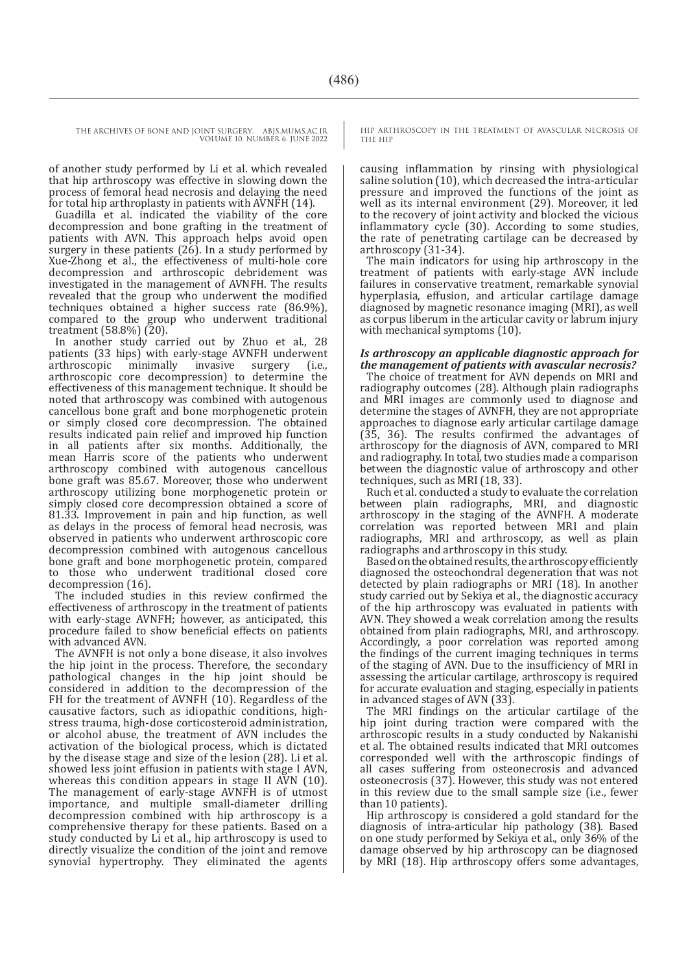> of another study performed by Li et al. which revealed that hip arthroscopy was effective in slowing down the process of femoral head necrosis and delaying the need for total hip arthroplasty in patients with AVNFH (14).

> Guadilla et al. indicated the viability of the core decompression and bone grafting in the treatment of patients with AVN. This approach helps avoid open surgery in these patients  $(26)$ . In a study performed by Xue-Zhong et al., the effectiveness of multi-hole core decompression and arthroscopic debridement was investigated in the management of AVNFH. The results revealed that the group who underwent the modified techniques obtained a higher success rate (86.9%), compared to the group who underwent traditional treatment (58.8%) (20).

> In another study carried out by Zhuo et al., 28 patients (33 hips) with early-stage AVNFH underwent arthroscopic minimally invasive surgery (i.e., arthroscopic minimally invasive surgery (i.e., arthroscopic core decompression) to determine the effectiveness of this management technique. It should be noted that arthroscopy was combined with autogenous cancellous bone graft and bone morphogenetic protein or simply closed core decompression. The obtained results indicated pain relief and improved hip function in all patients after six months. Additionally, the mean Harris score of the patients who underwent arthroscopy combined with autogenous cancellous bone graft was 85.67. Moreover, those who underwent arthroscopy utilizing bone morphogenetic protein or simply closed core decompression obtained a score of 81.33. Improvement in pain and hip function, as well as delays in the process of femoral head necrosis, was observed in patients who underwent arthroscopic core decompression combined with autogenous cancellous bone graft and bone morphogenetic protein, compared to those who underwent traditional closed core decompression (16).

> The included studies in this review confirmed the effectiveness of arthroscopy in the treatment of patients with early-stage AVNFH; however, as anticipated, this procedure failed to show beneficial effects on patients with advanced AVN.

> The AVNFH is not only a bone disease, it also involves the hip joint in the process. Therefore, the secondary pathological changes in the hip joint should be considered in addition to the decompression of the FH for the treatment of AVNFH (10). Regardless of the causative factors, such as idiopathic conditions, highstress trauma, high-dose corticosteroid administration, or alcohol abuse, the treatment of AVN includes the activation of the biological process, which is dictated by the disease stage and size of the lesion (28). Li et al. showed less joint effusion in patients with stage I AVN, whereas this condition appears in stage II AVN (10). The management of early-stage AVNFH is of utmost importance, and multiple small-diameter drilling decompression combined with hip arthroscopy is a comprehensive therapy for these patients. Based on a study conducted by Li et al., hip arthroscopy is used to directly visualize the condition of the joint and remove synovial hypertrophy. They eliminated the agents

HIP ARTHROSCOPY IN THE TREATMENT OF AVASCULAR NECROSIS OF THE HIP

causing inflammation by rinsing with physiological saline solution (10), which decreased the intra-articular pressure and improved the functions of the joint as well as its internal environment (29). Moreover, it led to the recovery of joint activity and blocked the vicious inflammatory cycle (30). According to some studies, the rate of penetrating cartilage can be decreased by arthroscopy (31-34).

The main indicators for using hip arthroscopy in the treatment of patients with early-stage AVN include failures in conservative treatment, remarkable synovial hyperplasia, effusion, and articular cartilage damage diagnosed by magnetic resonance imaging (MRI), as well as corpus liberum in the articular cavity or labrum injury with mechanical symptoms (10).

#### *Is arthroscopy an applicable diagnostic approach for the management of patients with avascular necrosis?*

The choice of treatment for AVN depends on MRI and radiography outcomes (28). Although plain radiographs and MRI images are commonly used to diagnose and determine the stages of AVNFH, they are not appropriate approaches to diagnose early articular cartilage damage (35, 36). The results confirmed the advantages of arthroscopy for the diagnosis of AVN, compared to MRI and radiography. In total, two studies made a comparison between the diagnostic value of arthroscopy and other techniques, such as MRI (18, 33).

Ruch et al. conducted a study to evaluate the correlation between plain radiographs, MRI, and diagnostic arthroscopy in the staging of the AVNFH. A moderate correlation was reported between MRI and plain radiographs, MRI and arthroscopy, as well as plain radiographs and arthroscopy in this study.

Based on the obtained results, the arthroscopy efficiently diagnosed the osteochondral degeneration that was not detected by plain radiographs or MRI (18). In another study carried out by Sekiya et al., the diagnostic accuracy of the hip arthroscopy was evaluated in patients with AVN. They showed a weak correlation among the results obtained from plain radiographs, MRI, and arthroscopy. Accordingly, a poor correlation was reported among the findings of the current imaging techniques in terms of the staging of AVN. Due to the insufficiency of MRI in assessing the articular cartilage, arthroscopy is required for accurate evaluation and staging, especially in patients in advanced stages of AVN (33).

The MRI findings on the articular cartilage of the hip joint during traction were compared with the arthroscopic results in a study conducted by Nakanishi et al. The obtained results indicated that MRI outcomes corresponded well with the arthroscopic findings of all cases suffering from osteonecrosis and advanced osteonecrosis (37). However, this study was not entered in this review due to the small sample size (i.e., fewer than 10 patients).

Hip arthroscopy is considered a gold standard for the diagnosis of intra-articular hip pathology (38). Based on one study performed by Sekiya et al., only 36% of the damage observed by hip arthroscopy can be diagnosed by MRI (18). Hip arthroscopy offers some advantages,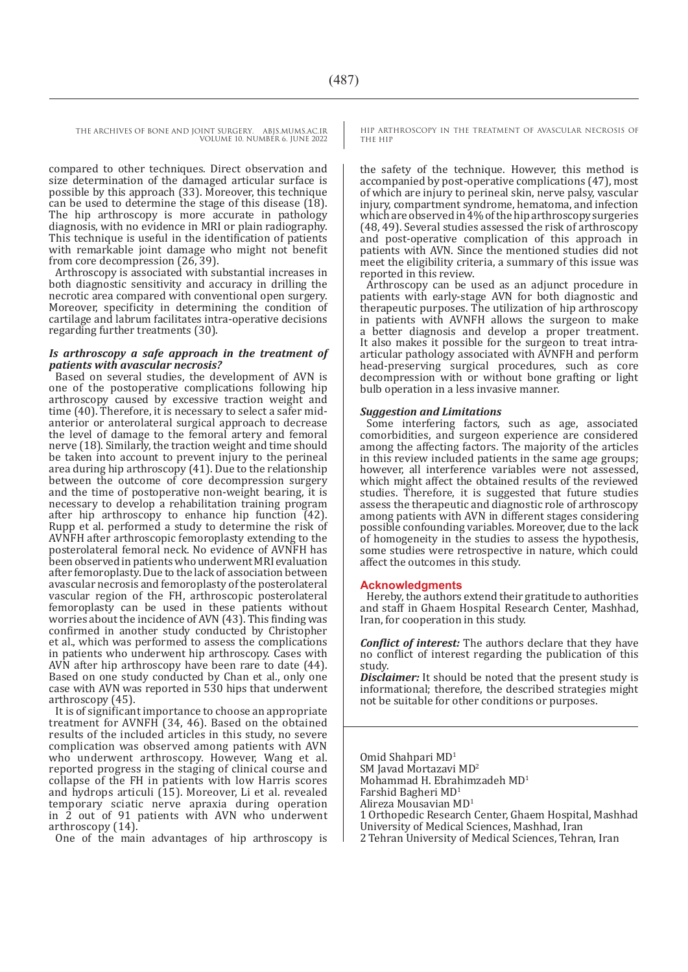> compared to other techniques. Direct observation and size determination of the damaged articular surface is possible by this approach (33). Moreover, this technique can be used to determine the stage of this disease (18). The hip arthroscopy is more accurate in pathology diagnosis, with no evidence in MRI or plain radiography. This technique is useful in the identification of patients with remarkable joint damage who might not benefit from core decompression (26, 39).

> Arthroscopy is associated with substantial increases in both diagnostic sensitivity and accuracy in drilling the necrotic area compared with conventional open surgery. Moreover, specificity in determining the condition of cartilage and labrum facilitates intra-operative decisions regarding further treatments (30).

#### *Is arthroscopy a safe approach in the treatment of patients with avascular necrosis?*

Based on several studies, the development of AVN is one of the postoperative complications following hip arthroscopy caused by excessive traction weight and time (40). Therefore, it is necessary to select a safer midanterior or anterolateral surgical approach to decrease the level of damage to the femoral artery and femoral nerve (18). Similarly, the traction weight and time should be taken into account to prevent injury to the perineal area during hip arthroscopy (41). Due to the relationship between the outcome of core decompression surgery and the time of postoperative non-weight bearing, it is necessary to develop a rehabilitation training program after hip arthroscopy to enhance hip function (42). Rupp et al. performed a study to determine the risk of AVNFH after arthroscopic femoroplasty extending to the posterolateral femoral neck. No evidence of AVNFH has been observed in patients who underwent MRI evaluation after femoroplasty. Due to the lack of association between avascular necrosis and femoroplasty of the posterolateral vascular region of the FH, arthroscopic posterolateral femoroplasty can be used in these patients without worries about the incidence of AVN (43). This finding was confirmed in another study conducted by Christopher et al., which was performed to assess the complications in patients who underwent hip arthroscopy. Cases with AVN after hip arthroscopy have been rare to date (44). Based on one study conducted by Chan et al., only one case with AVN was reported in 530 hips that underwent arthroscopy (45).

It is of significant importance to choose an appropriate treatment for AVNFH (34, 46). Based on the obtained results of the included articles in this study, no severe complication was observed among patients with AVN who underwent arthroscopy. However, Wang et al. reported progress in the staging of clinical course and collapse of the FH in patients with low Harris scores and hydrops articuli (15). Moreover, Li et al. revealed temporary sciatic nerve apraxia during operation in 2 out of 91 patients with AVN who underwent arthroscopy (14).

One of the main advantages of hip arthroscopy is

HIP ARTHROSCOPY IN THE TREATMENT OF AVASCULAR NECROSIS OF THE HIP

the safety of the technique. However, this method is accompanied by post-operative complications (47), most of which are injury to perineal skin, nerve palsy, vascular injury, compartment syndrome, hematoma, and infection which are observed in 4% of the hip arthroscopy surgeries (48, 49). Several studies assessed the risk of arthroscopy and post-operative complication of this approach in patients with AVN. Since the mentioned studies did not meet the eligibility criteria, a summary of this issue was reported in this review.

Arthroscopy can be used as an adjunct procedure in patients with early-stage AVN for both diagnostic and therapeutic purposes. The utilization of hip arthroscopy in patients with AVNFH allows the surgeon to make a better diagnosis and develop a proper treatment. It also makes it possible for the surgeon to treat intraarticular pathology associated with AVNFH and perform head-preserving surgical procedures, such as core decompression with or without bone grafting or light bulb operation in a less invasive manner.

#### *Suggestion and Limitations*

Some interfering factors, such as age, associated comorbidities, and surgeon experience are considered among the affecting factors. The majority of the articles in this review included patients in the same age groups; however, all interference variables were not assessed, which might affect the obtained results of the reviewed studies. Therefore, it is suggested that future studies assess the therapeutic and diagnostic role of arthroscopy among patients with AVN in different stages considering possible confounding variables. Moreover, due to the lack of homogeneity in the studies to assess the hypothesis, some studies were retrospective in nature, which could affect the outcomes in this study.

#### **Acknowledgments**

Hereby, the authors extend their gratitude to authorities and staff in Ghaem Hospital Research Center, Mashhad, Iran, for cooperation in this study.

*Conflict of interest:* The authors declare that they have no conflict of interest regarding the publication of this study.

*Disclaimer:* It should be noted that the present study is informational; therefore, the described strategies might not be suitable for other conditions or purposes.

Omid Shahpari MD<sup>1</sup> SM Javad Mortazavi MD<sup>2</sup> Mohammad H. Ebrahimzadeh MD1 Farshid Bagheri MD1 Alireza Mousavian MD<sup>1</sup> 1 Orthopedic Research Center, Ghaem Hospital, Mashhad University of Medical Sciences, Mashhad, Iran

2 Tehran University of Medical Sciences, Tehran, Iran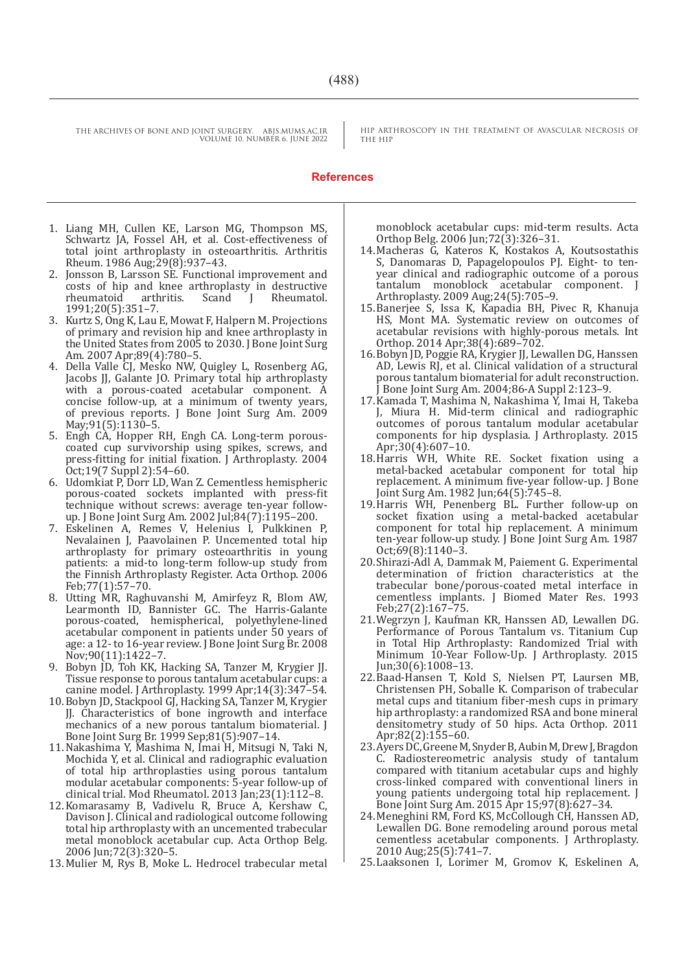THE ARCHIVES OF BONE AND JOINT SURGERY. ABJS.MUMS.AC.IR

VOLUME 10. NUMBER 6. JUNE 2022

HIP ARTHROSCOPY IN THE TREATMENT OF AVASCULAR NECROSIS OF THE HIP

#### **References**

- 1. Liang MH, Cullen KE, Larson MG, Thompson MS, Schwartz JA, Fossel AH, et al. Cost-effectiveness of total joint arthroplasty in osteoarthritis. Arthritis Rheum. 1986 Aug;29(8):937–43.
- 2. Jonsson B, Larsson SE. Functional improvement and costs of hip and knee arthroplasty in destructive<br>rheumatoid arthritis. Scand J Rheumatol. Rheumatol. 1991;20(5):351–7.
- 3. Kurtz S, Ong K, Lau E, Mowat F, Halpern M. Projections of primary and revision hip and knee arthroplasty in the United States from 2005 to 2030. J Bone Joint Surg Am. 2007 Apr;89(4):780–5.
- 4. Della Valle CJ, Mesko NW, Quigley L, Rosenberg AG, Jacobs JJ, Galante JO. Primary total hip arthroplasty with a porous-coated acetabular component. A concise follow-up, at a minimum of twenty years, of previous reports. J Bone Joint Surg Am. 2009 May; 91(5): 1130-5.
- 5. Engh CA, Hopper RH, Engh CA. Long-term porouscoated cup survivorship using spikes, screws, and press-fitting for initial fixation. J Arthroplasty. 2004 Oct;19(7 Suppl 2):54–60.
- 6. Udomkiat P, Dorr LD, Wan Z. Cementless hemispheric porous-coated sockets implanted with press-fit technique without screws: average ten-year followup. J Bone Joint Surg Am. 2002 Jul;84(7):1195–200.
- 7. Eskelinen A, Remes V, Helenius I, Pulkkinen P, Nevalainen J, Paavolainen P. Uncemented total hip arthroplasty for primary osteoarthritis in young patients: a mid-to long-term follow-up study from the Finnish Arthroplasty Register. Acta Orthop. 2006 Feb;77(1):57–70.
- 8. Utting MR, Raghuvanshi M, Amirfeyz R, Blom AW, Learmonth ID, Bannister GC. The Harris-Galante porous-coated, hemispherical, polyethylene-lined acetabular component in patients under 50 years of age: a 12- to 16-year review. J Bone Joint Surg Br. 2008 Nov;90(11):1422–7.
- 9. Bobyn JD, Toh KK, Hacking SA, Tanzer M, Krygier JJ. Tissue response to porous tantalum acetabular cups: a canine model. J Arthroplasty. 1999 Apr;14(3):347–54.
- 10.Bobyn JD, Stackpool GJ, Hacking SA, Tanzer M, Krygier JJ. Characteristics of bone ingrowth and interface mechanics of a new porous tantalum biomaterial. J Bone Joint Surg Br. 1999 Sep;81(5):907–14.
- 11.Nakashima Y, Mashima N, Imai H, Mitsugi N, Taki N, Mochida Y, et al. Clinical and radiographic evaluation of total hip arthroplasties using porous tantalum modular acetabular components: 5-year follow-up of clinical trial. Mod Rheumatol. 2013 Jan;23(1):112-8.
- 12.Komarasamy B, Vadivelu R, Bruce A, Kershaw C, Davison J. Clinical and radiological outcome following total hip arthroplasty with an uncemented trabecular metal monoblock acetabular cup. Acta Orthop Belg. 2006 Jun;72(3):320–5.
- 13.Mulier M, Rys B, Moke L. Hedrocel trabecular metal

monoblock acetabular cups: mid-term results. Acta Orthop Belg. 2006 Jun;72(3):326–31.

- 14.Macheras G, Kateros K, Kostakos A, Koutsostathis S, Danomaras D, Papagelopoulos PJ. Eight- to tenyear clinical and radiographic outcome of a porous tantalum monoblock acetabular component. J Arthroplasty. 2009 Aug;24(5):705–9.
- 15.Banerjee S, Issa K, Kapadia BH, Pivec R, Khanuja HS, Mont MA. Systematic review on outcomes of acetabular revisions with highly-porous metals. Int Orthop. 2014 Apr;38(4):689–702.
- 16.Bobyn JD, Poggie RA, Krygier JJ, Lewallen DG, Hanssen AD, Lewis RJ, et al. Clinical validation of a structural porous tantalum biomaterial for adult reconstruction. J Bone Joint Surg Am. 2004;86-A Suppl 2:123–9.
- 17.Kamada T, Mashima N, Nakashima Y, Imai H, Takeba J, Miura H. Mid-term clinical and radiographic outcomes of porous tantalum modular acetabular components for hip dysplasia. J Arthroplasty. 2015 Apr;30(4):607–10.
- 18.Harris WH, White RE. Socket fixation using a metal-backed acetabular component for total hip replacement. A minimum five-year follow-up. J Bone Joint Surg Am. 1982 Jun;64(5):745–8.
- 19.Harris WH, Penenberg BL. Further follow-up on socket fixation using a metal-backed acetabular component for total hip replacement. A minimum ten-year follow-up study. J Bone Joint Surg Am. 1987 Oct;69(8):1140–3.
- 20.Shirazi-Adl A, Dammak M, Paiement G. Experimental determination of friction characteristics at the trabecular bone/porous-coated metal interface in cementless implants. J Biomed Mater Res. 1993 Feb;27(2):167–75.
- 21.Wegrzyn J, Kaufman KR, Hanssen AD, Lewallen DG. Performance of Porous Tantalum vs. Titanium Cup in Total Hip Arthroplasty: Randomized Trial with Minimum 10-Year Follow-Up. J Arthroplasty. 2015 Jun;30(6):1008–13.
- 22.Baad-Hansen T, Kold S, Nielsen PT, Laursen MB, Christensen PH, Soballe K. Comparison of trabecular metal cups and titanium fiber-mesh cups in primary hip arthroplasty: a randomized RSA and bone mineral densitometry study of 50 hips. Acta Orthop. 2011 Apr;82(2):155–60.
- 23.Ayers DC, Greene M, Snyder B, Aubin M, Drew J, Bragdon C. Radiostereometric analysis study of tantalum compared with titanium acetabular cups and highly cross-linked compared with conventional liners in young patients undergoing total hip replacement. J Bone Joint Surg Am. 2015 Apr 15;97(8):627–34.
- 24.Meneghini RM, Ford KS, McCollough CH, Hanssen AD, Lewallen DG. Bone remodeling around porous metal cementless acetabular components. J Arthroplasty. 2010 Aug;25(5):741–7.
- 25.Laaksonen I, Lorimer M, Gromov K, Eskelinen A,